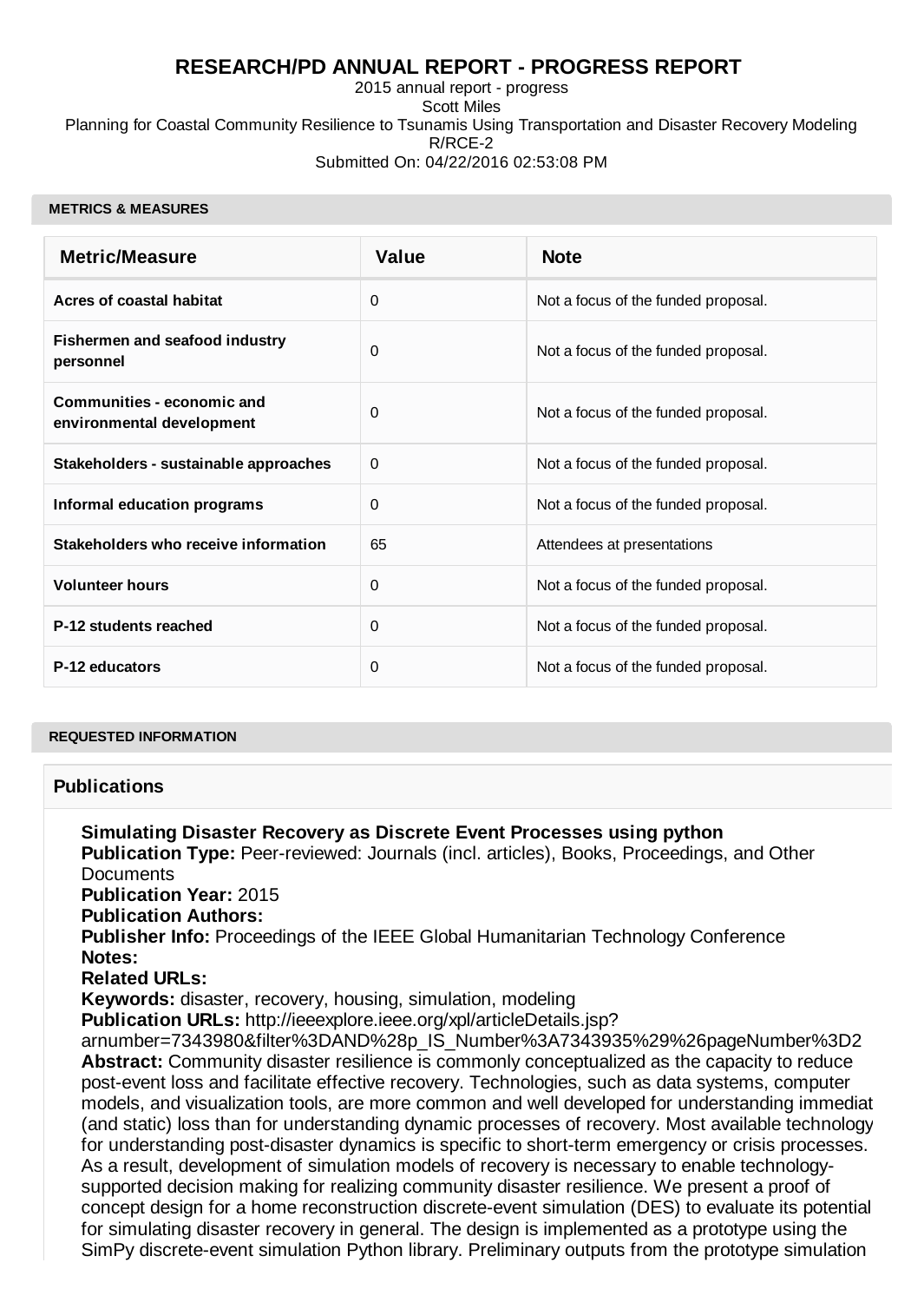## **RESEARCH/PD ANNUAL REPORT - PROGRESS REPORT**

2015 annual report - progress Scott Miles Planning for Coastal Community Resilience to Tsunamis Using Transportation and Disaster Recovery Modeling R/RCE-2 Submitted On: 04/22/2016 02:53:08 PM

#### **METRICS & MEASURES**

| <b>Metric/Measure</b>                                   | <b>Value</b> | <b>Note</b>                         |
|---------------------------------------------------------|--------------|-------------------------------------|
| Acres of coastal habitat                                | 0            | Not a focus of the funded proposal. |
| Fishermen and seafood industry<br>personnel             | 0            | Not a focus of the funded proposal. |
| Communities - economic and<br>environmental development | 0            | Not a focus of the funded proposal. |
| Stakeholders - sustainable approaches                   | 0            | Not a focus of the funded proposal. |
| <b>Informal education programs</b>                      | 0            | Not a focus of the funded proposal. |
| Stakeholders who receive information                    | 65           | Attendees at presentations          |
| <b>Volunteer hours</b>                                  | 0            | Not a focus of the funded proposal. |
| P-12 students reached                                   | 0            | Not a focus of the funded proposal. |
| P-12 educators                                          | 0            | Not a focus of the funded proposal. |

#### **REQUESTED INFORMATION**

### **Publications**

**Simulating Disaster Recovery as Discrete Event Processes using python Publication Type:** Peer-reviewed: Journals (incl. articles), Books, Proceedings, and Other **Documents Publication Year:** 2015 **Publication Authors: Publisher Info:** Proceedings of the IEEE Global Humanitarian Technology Conference **Notes: Related URLs: Keywords:** disaster, recovery, housing, simulation, modeling **Publication URLs:** http://ieeexplore.ieee.org/xpl/articleDetails.jsp? arnumber=7343980&filter%3DAND%28p\_IS\_Number%3A7343935%29%26pageNumber%3D2 **Abstract:** Community disaster resilience is commonly conceptualized as the capacity to reduce post-event loss and facilitate effective recovery. Technologies, such as data systems, computer models, and visualization tools, are more common and well developed for understanding immediat (and static) loss than for understanding dynamic processes of recovery. Most available technology for understanding post-disaster dynamics is specific to short-term emergency or crisis processes. As a result, development of simulation models of recovery is necessary to enable technologysupported decision making for realizing community disaster resilience. We present a proof of concept design for a home reconstruction discrete-event simulation (DES) to evaluate its potential for simulating disaster recovery in general. The design is implemented as a prototype using the SimPy discrete-event simulation Python library. Preliminary outputs from the prototype simulation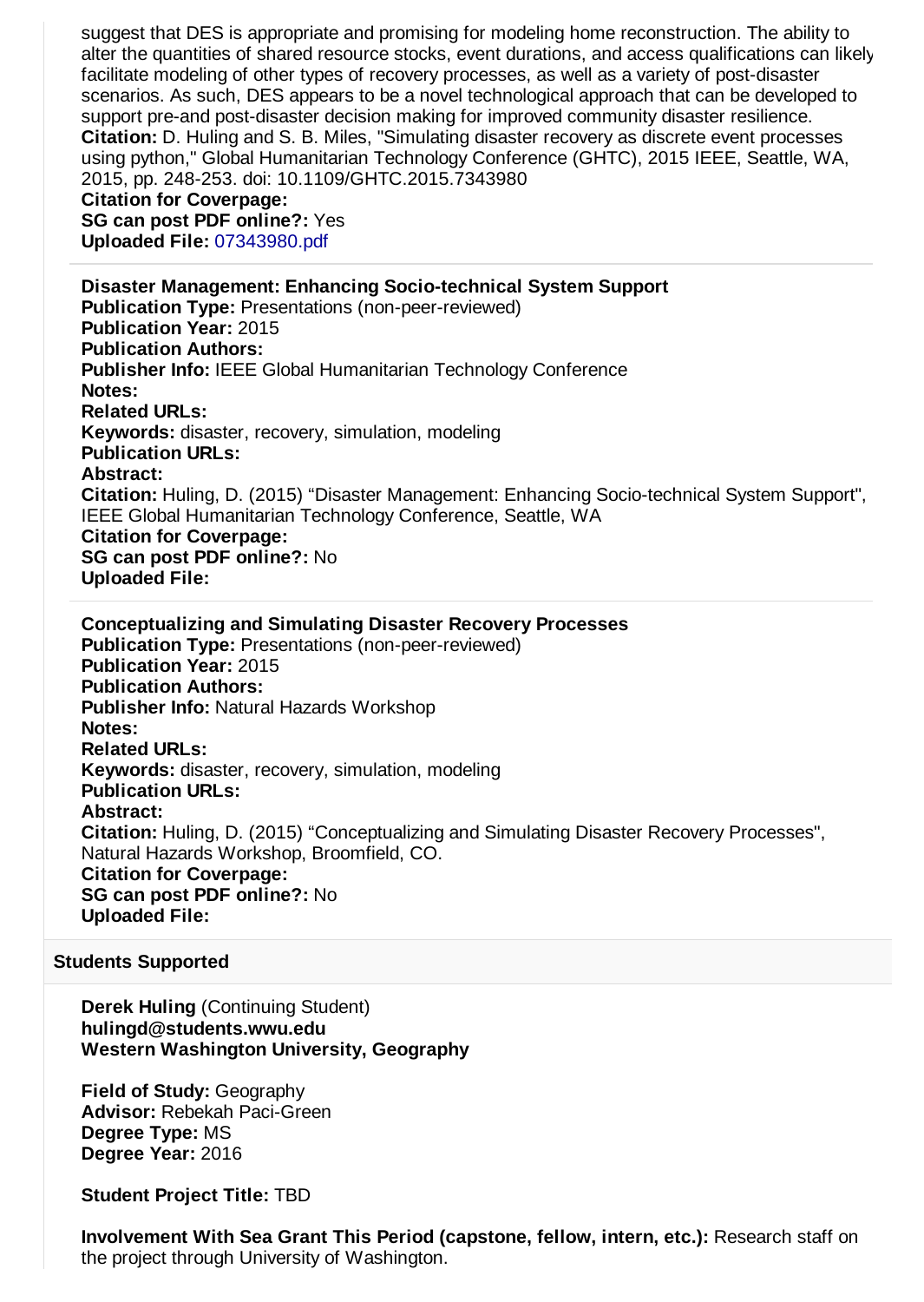suggest that DES is appropriate and promising for modeling home reconstruction. The ability to alter the quantities of shared resource stocks, event durations, and access qualifications can likely facilitate modeling of other types of recovery processes, as well as a variety of post-disaster scenarios. As such, DES appears to be a novel technological approach that can be developed to support pre-and post-disaster decision making for improved community disaster resilience. **Citation:** D. Huling and S. B. Miles, "Simulating disaster recovery as discrete event processes using python," Global Humanitarian Technology Conference (GHTC), 2015 IEEE, Seattle, WA, 2015, pp. 248-253. doi: 10.1109/GHTC.2015.7343980

**Citation for Coverpage: SG can post PDF online?:** Yes

**Uploaded File:** [07343980.pdf](http://esg.wsg.washington.edu/index.php?module=Publication&action=DownloadFile&record=22731&fileid=22732)

**Disaster Management: Enhancing Socio-technical System Support Publication Type:** Presentations (non-peer-reviewed) **Publication Year:** 2015 **Publication Authors: Publisher Info:** IEEE Global Humanitarian Technology Conference **Notes: Related URLs: Keywords:** disaster, recovery, simulation, modeling **Publication URLs: Abstract: Citation:** Huling, D. (2015) "Disaster Management: Enhancing Socio-technical System Support", IEEE Global Humanitarian Technology Conference, Seattle, WA **Citation for Coverpage: SG can post PDF online?:** No **Uploaded File:**

**Conceptualizing and Simulating Disaster Recovery Processes Publication Type:** Presentations (non-peer-reviewed) **Publication Year:** 2015 **Publication Authors: Publisher Info:** Natural Hazards Workshop **Notes: Related URLs: Keywords:** disaster, recovery, simulation, modeling **Publication URLs: Abstract: Citation:** Huling, D. (2015) "Conceptualizing and Simulating Disaster Recovery Processes", Natural Hazards Workshop, Broomfield, CO. **Citation for Coverpage: SG can post PDF online?:** No **Uploaded File:**

### **Students Supported**

**Derek Huling** (Continuing Student) **hulingd@students.wwu.edu Western Washington University, Geography**

**Field of Study:** Geography **Advisor:** Rebekah Paci-Green **Degree Type:** MS **Degree Year:** 2016

**Student Project Title:** TBD

**Involvement With Sea Grant This Period (capstone, fellow, intern, etc.):** Research staff on the project through University of Washington.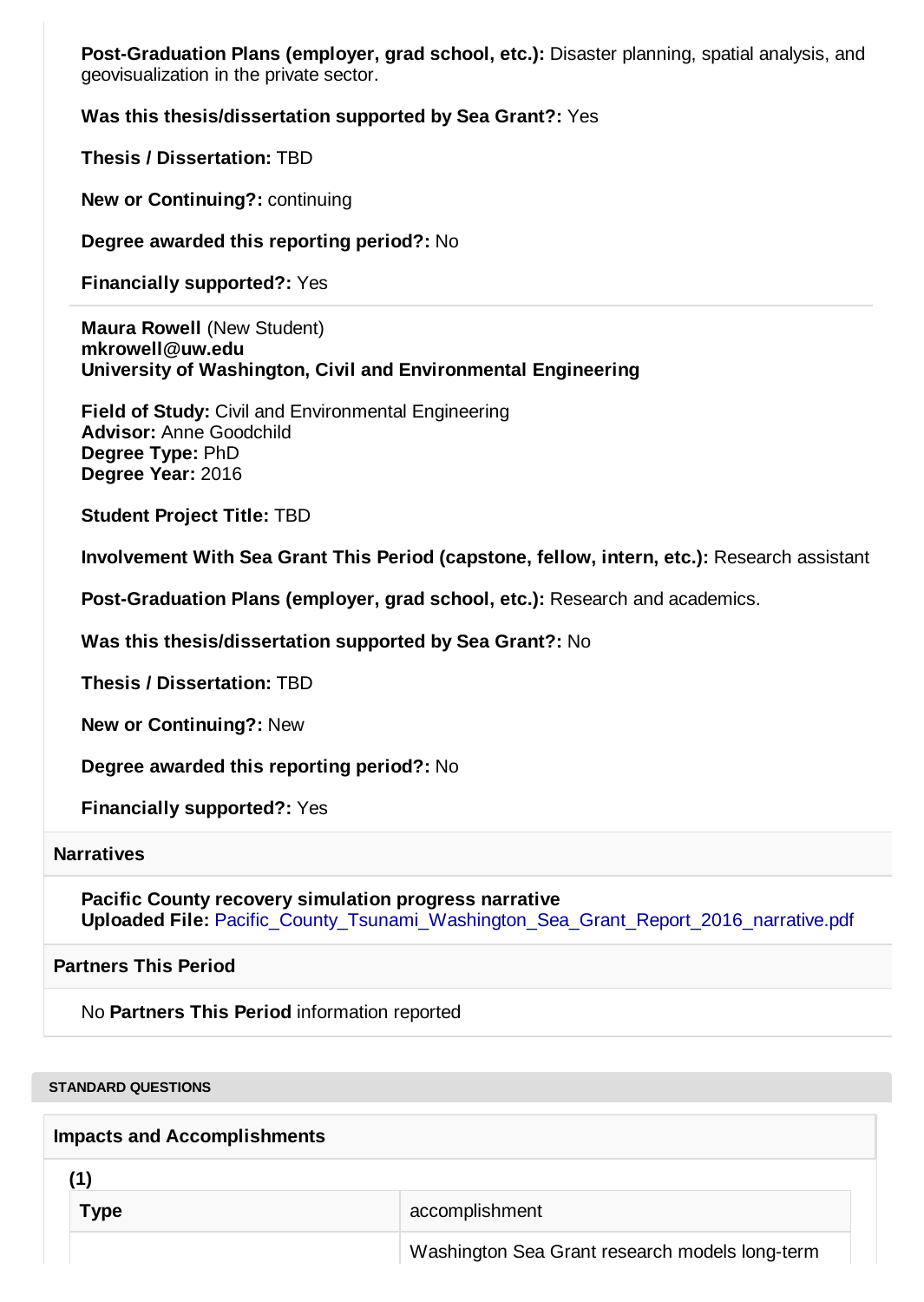**Post-Graduation Plans (employer, grad school, etc.):** Disaster planning, spatial analysis, and geovisualization in the private sector.

### **Was this thesis/dissertation supported by Sea Grant?:** Yes

**Thesis / Dissertation:** TBD

**New or Continuing?:** continuing

**Degree awarded this reporting period?:** No

**Financially supported?:** Yes

**Maura Rowell** (New Student) **mkrowell@uw.edu University of Washington, Civil and Environmental Engineering**

**Field of Study:** Civil and Environmental Engineering **Advisor:** Anne Goodchild **Degree Type:** PhD **Degree Year:** 2016

**Student Project Title:** TBD

**Involvement With Sea Grant This Period (capstone, fellow, intern, etc.):** Research assistant

**Post-Graduation Plans (employer, grad school, etc.):** Research and academics.

**Was this thesis/dissertation supported by Sea Grant?:** No

**Thesis / Dissertation:** TBD

**New or Continuing?:** New

**Degree awarded this reporting period?:** No

**Financially supported?:** Yes

#### **Narratives**

**Pacific County recovery simulation progress narrative** Uploaded File: Pacific County Tsunami Washington Sea Grant Report 2016 narrative.pdf

**Partners This Period**

No **Partners This Period** information reported

**STANDARD QUESTIONS**

#### **Impacts and Accomplishments**

**(1)**

**Type** accomplishment

Washington Sea Grant research models long-term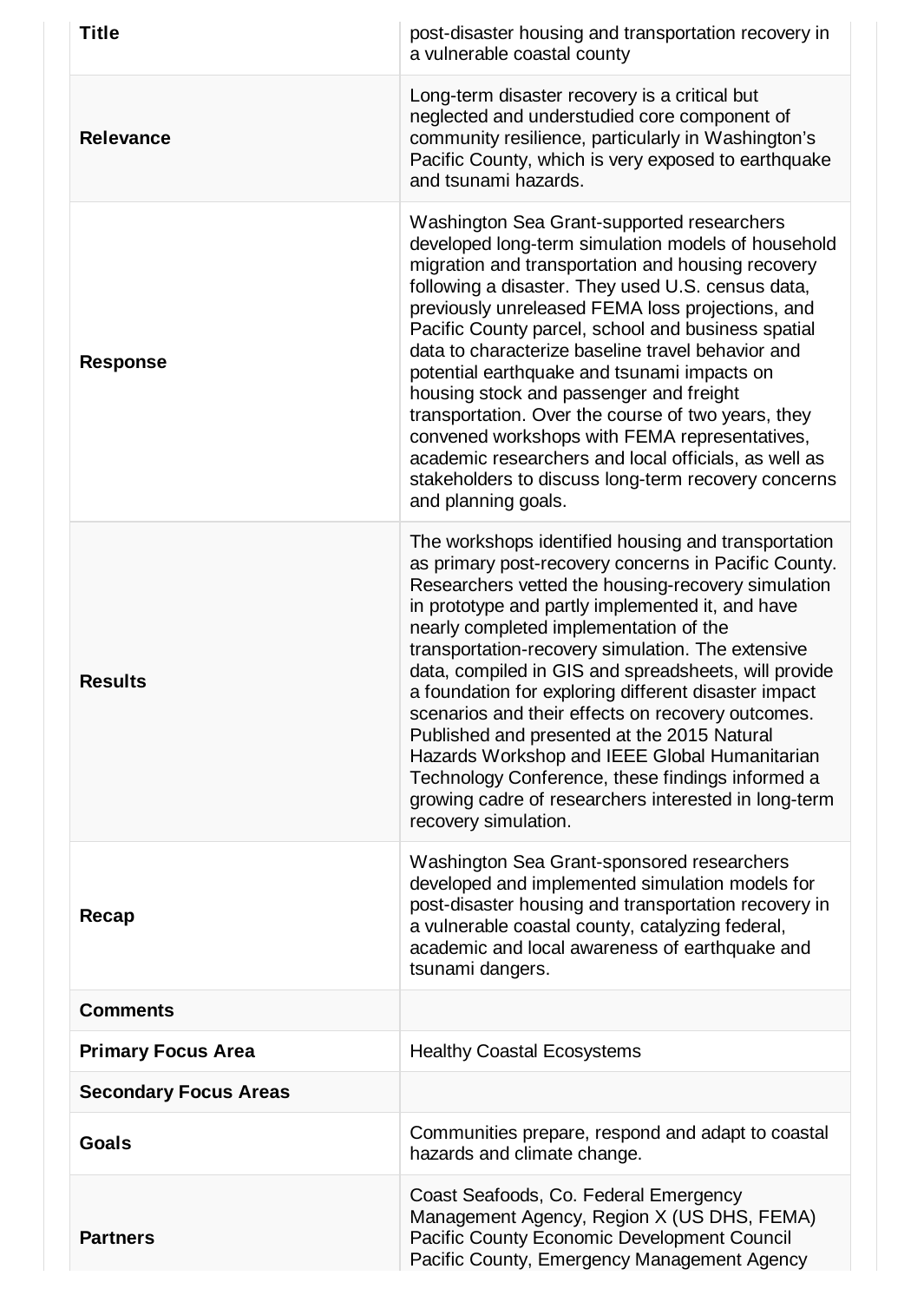| <b>Title</b>                 | post-disaster housing and transportation recovery in<br>a vulnerable coastal county                                                                                                                                                                                                                                                                                                                                                                                                                                                                                                                                                                                                                                           |
|------------------------------|-------------------------------------------------------------------------------------------------------------------------------------------------------------------------------------------------------------------------------------------------------------------------------------------------------------------------------------------------------------------------------------------------------------------------------------------------------------------------------------------------------------------------------------------------------------------------------------------------------------------------------------------------------------------------------------------------------------------------------|
| Relevance                    | Long-term disaster recovery is a critical but<br>neglected and understudied core component of<br>community resilience, particularly in Washington's<br>Pacific County, which is very exposed to earthquake<br>and tsunami hazards.                                                                                                                                                                                                                                                                                                                                                                                                                                                                                            |
| <b>Response</b>              | Washington Sea Grant-supported researchers<br>developed long-term simulation models of household<br>migration and transportation and housing recovery<br>following a disaster. They used U.S. census data,<br>previously unreleased FEMA loss projections, and<br>Pacific County parcel, school and business spatial<br>data to characterize baseline travel behavior and<br>potential earthquake and tsunami impacts on<br>housing stock and passenger and freight<br>transportation. Over the course of two years, they<br>convened workshops with FEMA representatives,<br>academic researchers and local officials, as well as<br>stakeholders to discuss long-term recovery concerns<br>and planning goals.              |
| <b>Results</b>               | The workshops identified housing and transportation<br>as primary post-recovery concerns in Pacific County.<br>Researchers vetted the housing-recovery simulation<br>in prototype and partly implemented it, and have<br>nearly completed implementation of the<br>transportation-recovery simulation. The extensive<br>data, compiled in GIS and spreadsheets, will provide<br>a foundation for exploring different disaster impact<br>scenarios and their effects on recovery outcomes.<br>Published and presented at the 2015 Natural<br>Hazards Workshop and IEEE Global Humanitarian<br>Technology Conference, these findings informed a<br>growing cadre of researchers interested in long-term<br>recovery simulation. |
| Recap                        | Washington Sea Grant-sponsored researchers<br>developed and implemented simulation models for<br>post-disaster housing and transportation recovery in<br>a vulnerable coastal county, catalyzing federal,<br>academic and local awareness of earthquake and<br>tsunami dangers.                                                                                                                                                                                                                                                                                                                                                                                                                                               |
| <b>Comments</b>              |                                                                                                                                                                                                                                                                                                                                                                                                                                                                                                                                                                                                                                                                                                                               |
| <b>Primary Focus Area</b>    | <b>Healthy Coastal Ecosystems</b>                                                                                                                                                                                                                                                                                                                                                                                                                                                                                                                                                                                                                                                                                             |
| <b>Secondary Focus Areas</b> |                                                                                                                                                                                                                                                                                                                                                                                                                                                                                                                                                                                                                                                                                                                               |
| <b>Goals</b>                 | Communities prepare, respond and adapt to coastal<br>hazards and climate change.                                                                                                                                                                                                                                                                                                                                                                                                                                                                                                                                                                                                                                              |
| <b>Partners</b>              | Coast Seafoods, Co. Federal Emergency<br>Management Agency, Region X (US DHS, FEMA)<br>Pacific County Economic Development Council<br>Pacific County, Emergency Management Agency                                                                                                                                                                                                                                                                                                                                                                                                                                                                                                                                             |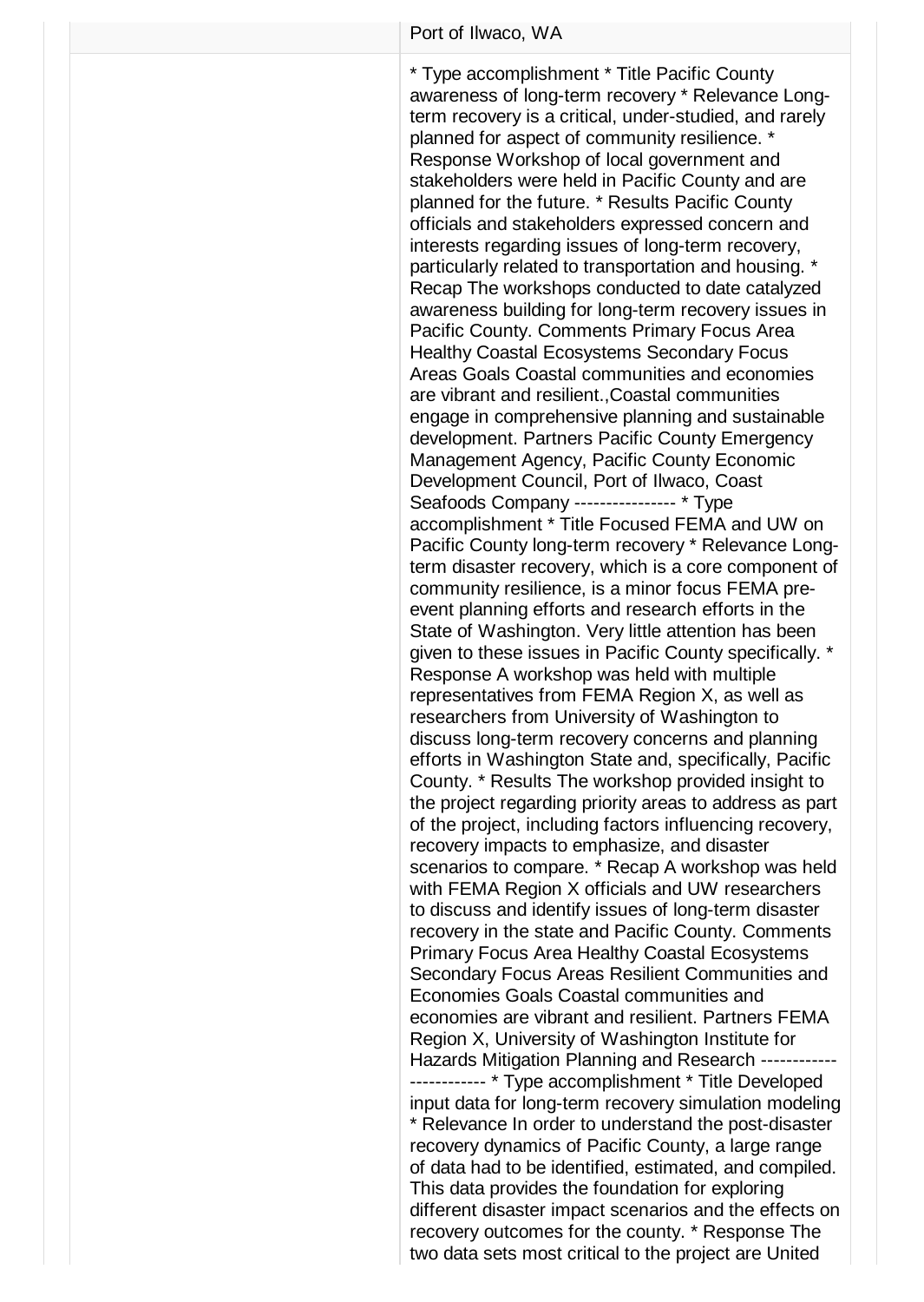\* Type accomplishment \* Title Pacific County awareness of long-term recovery \* Relevance Longterm recovery is a critical, under-studied, and rarely planned for aspect of community resilience. \* Response Workshop of local government and stakeholders were held in Pacific County and are planned for the future. \* Results Pacific County officials and stakeholders expressed concern and interests regarding issues of long-term recovery, particularly related to transportation and housing. \* Recap The workshops conducted to date catalyzed awareness building for long-term recovery issues in Pacific County. Comments Primary Focus Area Healthy Coastal Ecosystems Secondary Focus Areas Goals Coastal communities and economies are vibrant and resilient.,Coastal communities engage in comprehensive planning and sustainable development. Partners Pacific County Emergency Management Agency, Pacific County Economic Development Council, Port of Ilwaco, Coast Seafoods Company ---------------- \* Type accomplishment \* Title Focused FEMA and UW on Pacific County long-term recovery \* Relevance Longterm disaster recovery, which is a core component of community resilience, is a minor focus FEMA preevent planning efforts and research efforts in the State of Washington. Very little attention has been given to these issues in Pacific County specifically. \* Response A workshop was held with multiple representatives from FEMA Region X, as well as researchers from University of Washington to discuss long-term recovery concerns and planning efforts in Washington State and, specifically, Pacific County. \* Results The workshop provided insight to the project regarding priority areas to address as part of the project, including factors influencing recovery, recovery impacts to emphasize, and disaster scenarios to compare. \* Recap A workshop was held with FEMA Region X officials and UW researchers to discuss and identify issues of long-term disaster recovery in the state and Pacific County. Comments Primary Focus Area Healthy Coastal Ecosystems Secondary Focus Areas Resilient Communities and Economies Goals Coastal communities and economies are vibrant and resilient. Partners FEMA Region X, University of Washington Institute for Hazards Mitigation Planning and Research ------------ ------------ \* Type accomplishment \* Title Developed input data for long-term recovery simulation modeling \* Relevance In order to understand the post-disaster recovery dynamics of Pacific County, a large range of data had to be identified, estimated, and compiled. This data provides the foundation for exploring different disaster impact scenarios and the effects on recovery outcomes for the county. \* Response The two data sets most critical to the project are United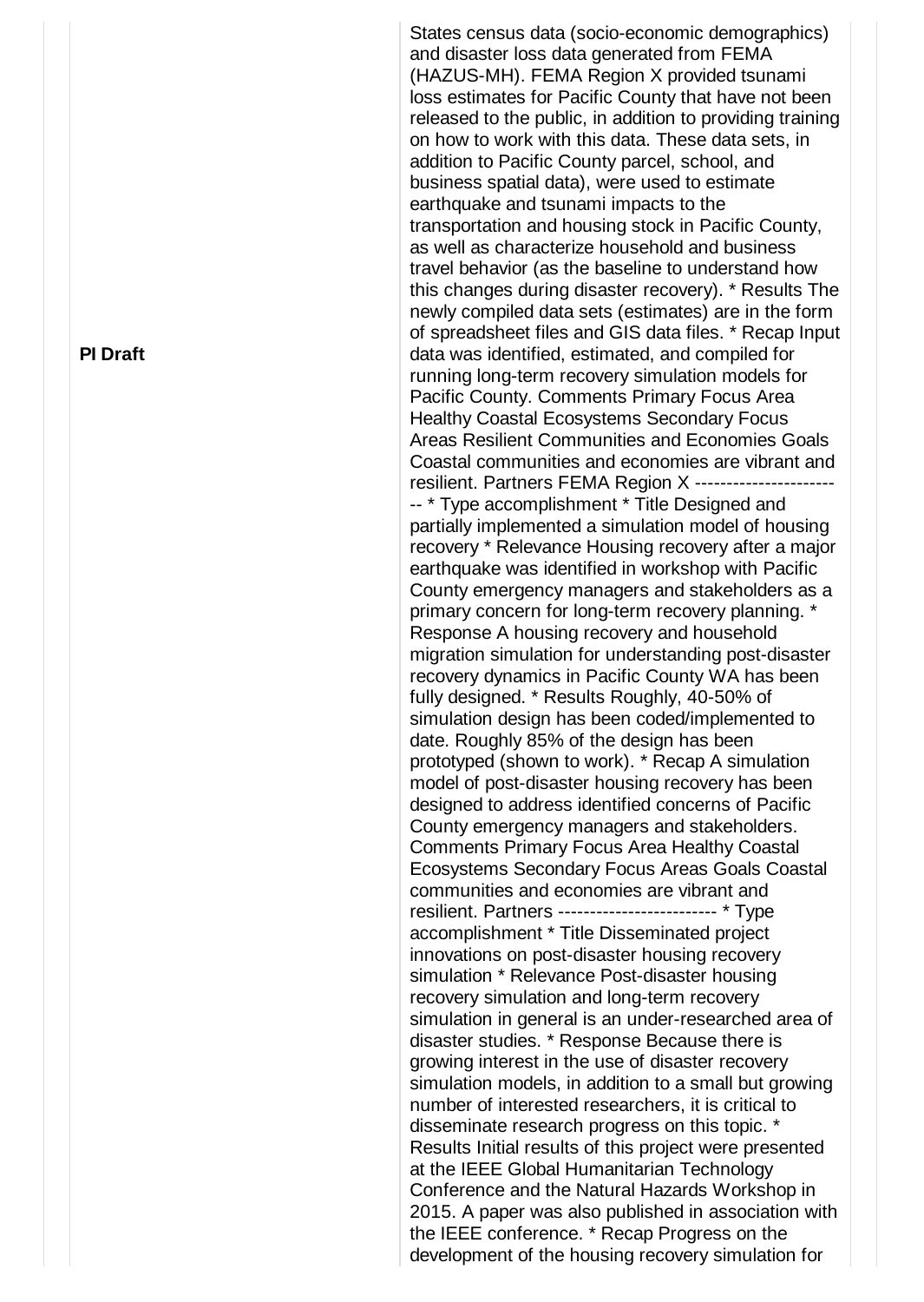States census data (socio-economic demographics) and disaster loss data generated from FEMA (HAZUS-MH). FEMA Region X provided tsunami loss estimates for Pacific County that have not been released to the public, in addition to providing training on how to work with this data. These data sets, in addition to Pacific County parcel, school, and business spatial data), were used to estimate earthquake and tsunami impacts to the transportation and housing stock in Pacific County, as well as characterize household and business travel behavior (as the baseline to understand how this changes during disaster recovery). \* Results The newly compiled data sets (estimates) are in the form of spreadsheet files and GIS data files. \* Recap Input data was identified, estimated, and compiled for running long-term recovery simulation models for Pacific County. Comments Primary Focus Area Healthy Coastal Ecosystems Secondary Focus Areas Resilient Communities and Economies Goals Coastal communities and economies are vibrant and resilient. Partners FEMA Region X ---------------------- -- \* Type accomplishment \* Title Designed and partially implemented a simulation model of housing recovery \* Relevance Housing recovery after a major earthquake was identified in workshop with Pacific County emergency managers and stakeholders as a primary concern for long-term recovery planning. \* Response A housing recovery and household migration simulation for understanding post-disaster recovery dynamics in Pacific County WA has been fully designed. \* Results Roughly, 40-50% of simulation design has been coded/implemented to date. Roughly 85% of the design has been prototyped (shown to work). \* Recap A simulation model of post-disaster housing recovery has been designed to address identified concerns of Pacific County emergency managers and stakeholders. Comments Primary Focus Area Healthy Coastal Ecosystems Secondary Focus Areas Goals Coastal communities and economies are vibrant and resilient. Partners ------------------------- \* Type accomplishment \* Title Disseminated project innovations on post-disaster housing recovery simulation \* Relevance Post-disaster housing recovery simulation and long-term recovery simulation in general is an under-researched area of disaster studies. \* Response Because there is growing interest in the use of disaster recovery simulation models, in addition to a small but growing number of interested researchers, it is critical to disseminate research progress on this topic. \* Results Initial results of this project were presented at the IEEE Global Humanitarian Technology Conference and the Natural Hazards Workshop in 2015. A paper was also published in association with the IEEE conference. \* Recap Progress on the development of the housing recovery simulation for

### **PI Draft**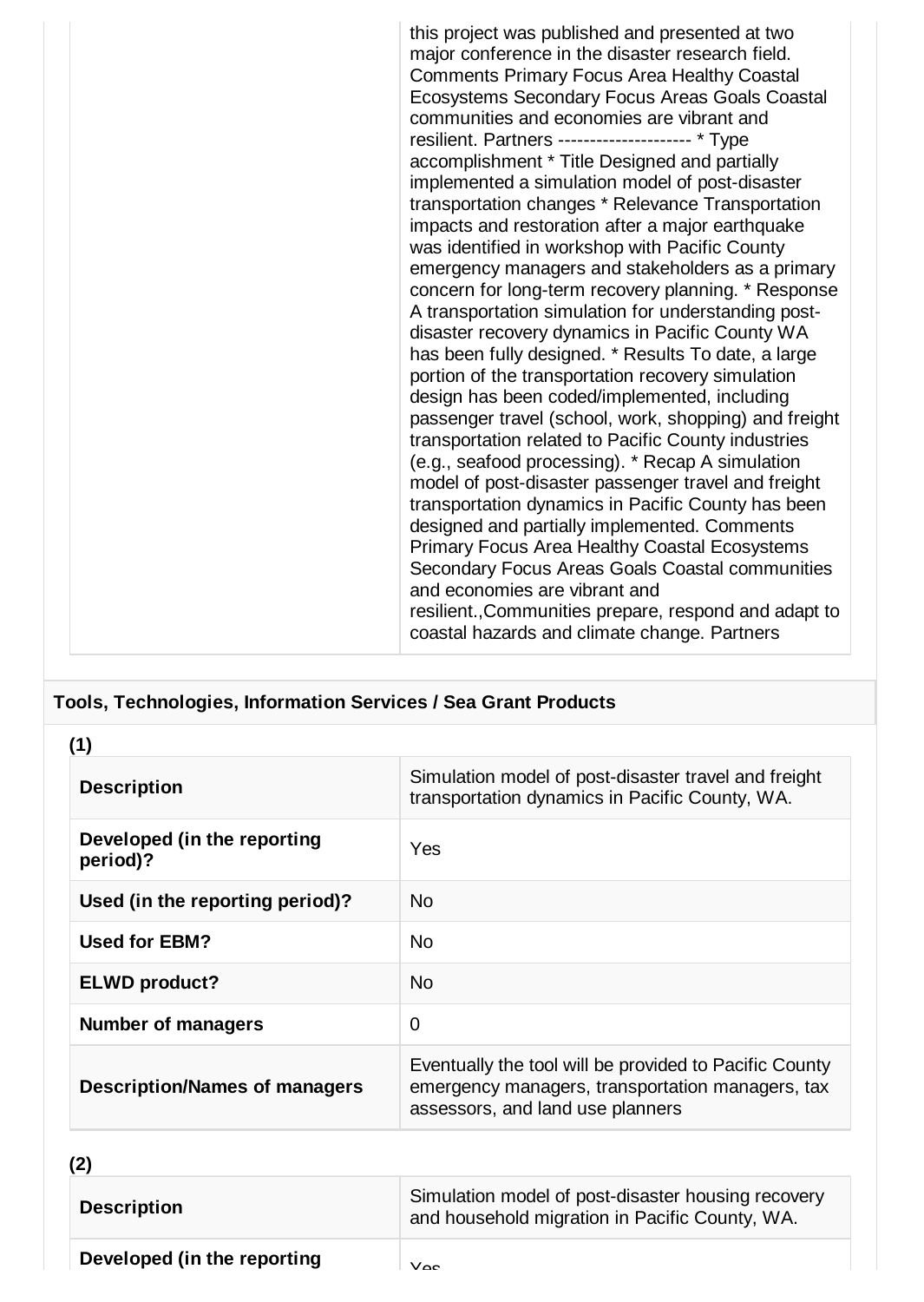this project was published and presented at two major conference in the disaster research field. Comments Primary Focus Area Healthy Coastal Ecosystems Secondary Focus Areas Goals Coastal communities and economies are vibrant and resilient. Partners --------------------- \* Type accomplishment \* Title Designed and partially implemented a simulation model of post-disaster transportation changes \* Relevance Transportation impacts and restoration after a major earthquake was identified in workshop with Pacific County emergency managers and stakeholders as a primary concern for long-term recovery planning. \* Response A transportation simulation for understanding postdisaster recovery dynamics in Pacific County WA has been fully designed. \* Results To date, a large portion of the transportation recovery simulation design has been coded/implemented, including passenger travel (school, work, shopping) and freight transportation related to Pacific County industries (e.g., seafood processing). \* Recap A simulation model of post-disaster passenger travel and freight transportation dynamics in Pacific County has been designed and partially implemented. Comments Primary Focus Area Healthy Coastal Ecosystems Secondary Focus Areas Goals Coastal communities and economies are vibrant and resilient.,Communities prepare, respond and adapt to coastal hazards and climate change. Partners

## **Tools, Technologies, Information Services / Sea Grant Products**

| (1)                                     |                                                                                                                                                |
|-----------------------------------------|------------------------------------------------------------------------------------------------------------------------------------------------|
| <b>Description</b>                      | Simulation model of post-disaster travel and freight<br>transportation dynamics in Pacific County, WA.                                         |
| Developed (in the reporting<br>period)? | Yes                                                                                                                                            |
| Used (in the reporting period)?         | N <sub>0</sub>                                                                                                                                 |
| <b>Used for EBM?</b>                    | No.                                                                                                                                            |
| <b>ELWD product?</b>                    | <b>No</b>                                                                                                                                      |
| <b>Number of managers</b>               | $\overline{0}$                                                                                                                                 |
| <b>Description/Names of managers</b>    | Eventually the tool will be provided to Pacific County<br>emergency managers, transportation managers, tax<br>assessors, and land use planners |
| (2)                                     |                                                                                                                                                |

**Developed (in the reporting** Yes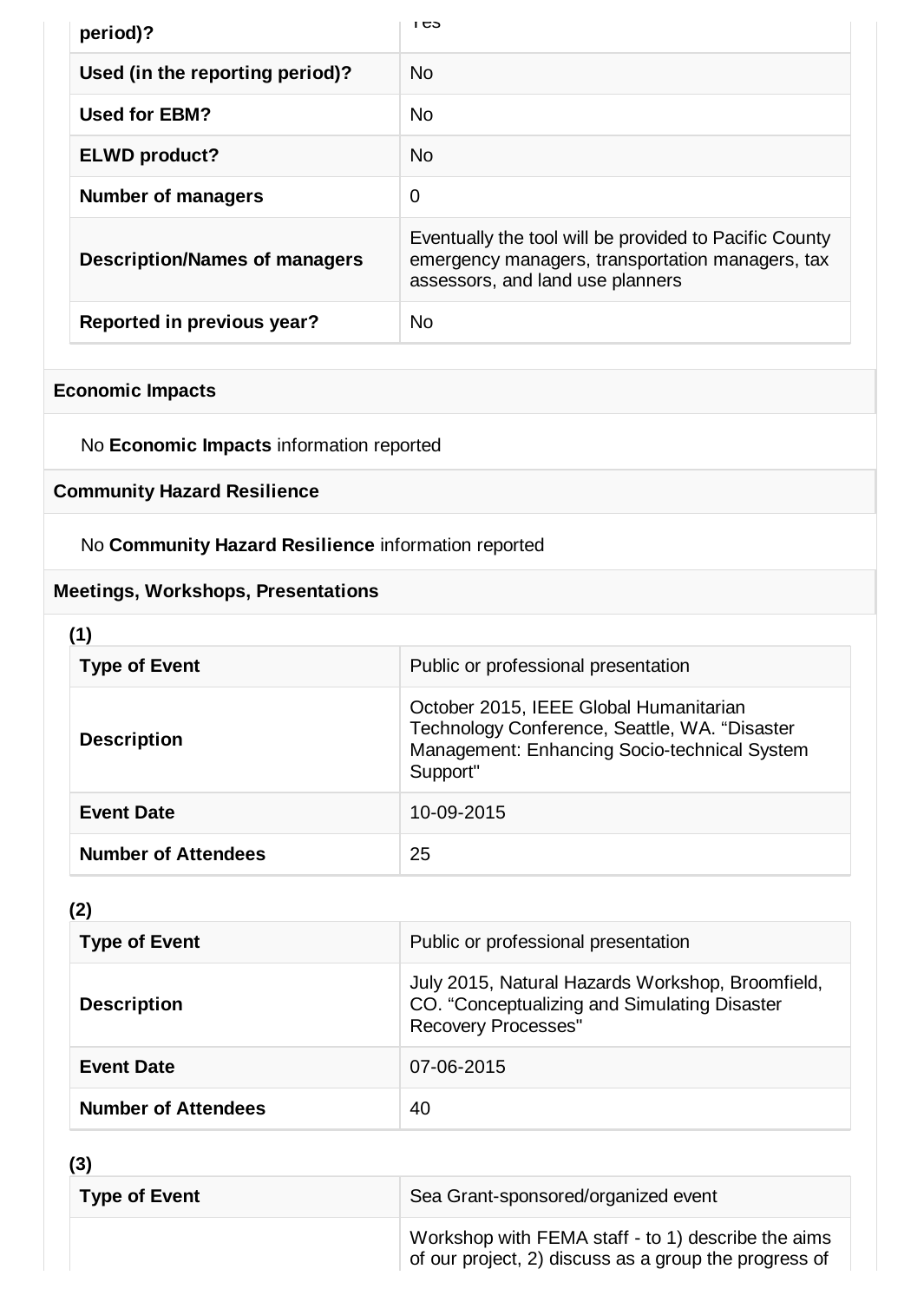| period)?                             | כט ו                                                                                                                                           |
|--------------------------------------|------------------------------------------------------------------------------------------------------------------------------------------------|
| Used (in the reporting period)?      | No.                                                                                                                                            |
| <b>Used for EBM?</b>                 | No.                                                                                                                                            |
| <b>ELWD product?</b>                 | No.                                                                                                                                            |
| <b>Number of managers</b>            | $\mathbf 0$                                                                                                                                    |
| <b>Description/Names of managers</b> | Eventually the tool will be provided to Pacific County<br>emergency managers, transportation managers, tax<br>assessors, and land use planners |
| Reported in previous year?           | No.                                                                                                                                            |

## **Economic Impacts**

No **Economic Impacts** information reported

## **Community Hazard Resilience**

No **Community Hazard Resilience** information reported

## **Meetings, Workshops, Presentations**

| <b>Type of Event</b>       | Public or professional presentation                                                                                                                 |
|----------------------------|-----------------------------------------------------------------------------------------------------------------------------------------------------|
| <b>Description</b>         | October 2015, IEEE Global Humanitarian<br>Technology Conference, Seattle, WA. "Disaster<br>Management: Enhancing Socio-technical System<br>Support" |
| <b>Event Date</b>          | 10-09-2015                                                                                                                                          |
| <b>Number of Attendees</b> | 25                                                                                                                                                  |

## **(2)**

| <b>Type of Event</b>       | Public or professional presentation                                                                                            |
|----------------------------|--------------------------------------------------------------------------------------------------------------------------------|
| <b>Description</b>         | July 2015, Natural Hazards Workshop, Broomfield,<br>CO. "Conceptualizing and Simulating Disaster<br><b>Recovery Processes"</b> |
| <b>Event Date</b>          | 07-06-2015                                                                                                                     |
| <b>Number of Attendees</b> | 40                                                                                                                             |

**(3)**

| נטן<br><b>Type of Event</b> | Sea Grant-sponsored/organized event                                                                         |
|-----------------------------|-------------------------------------------------------------------------------------------------------------|
|                             | Workshop with FEMA staff - to 1) describe the aims<br>of our project, 2) discuss as a group the progress of |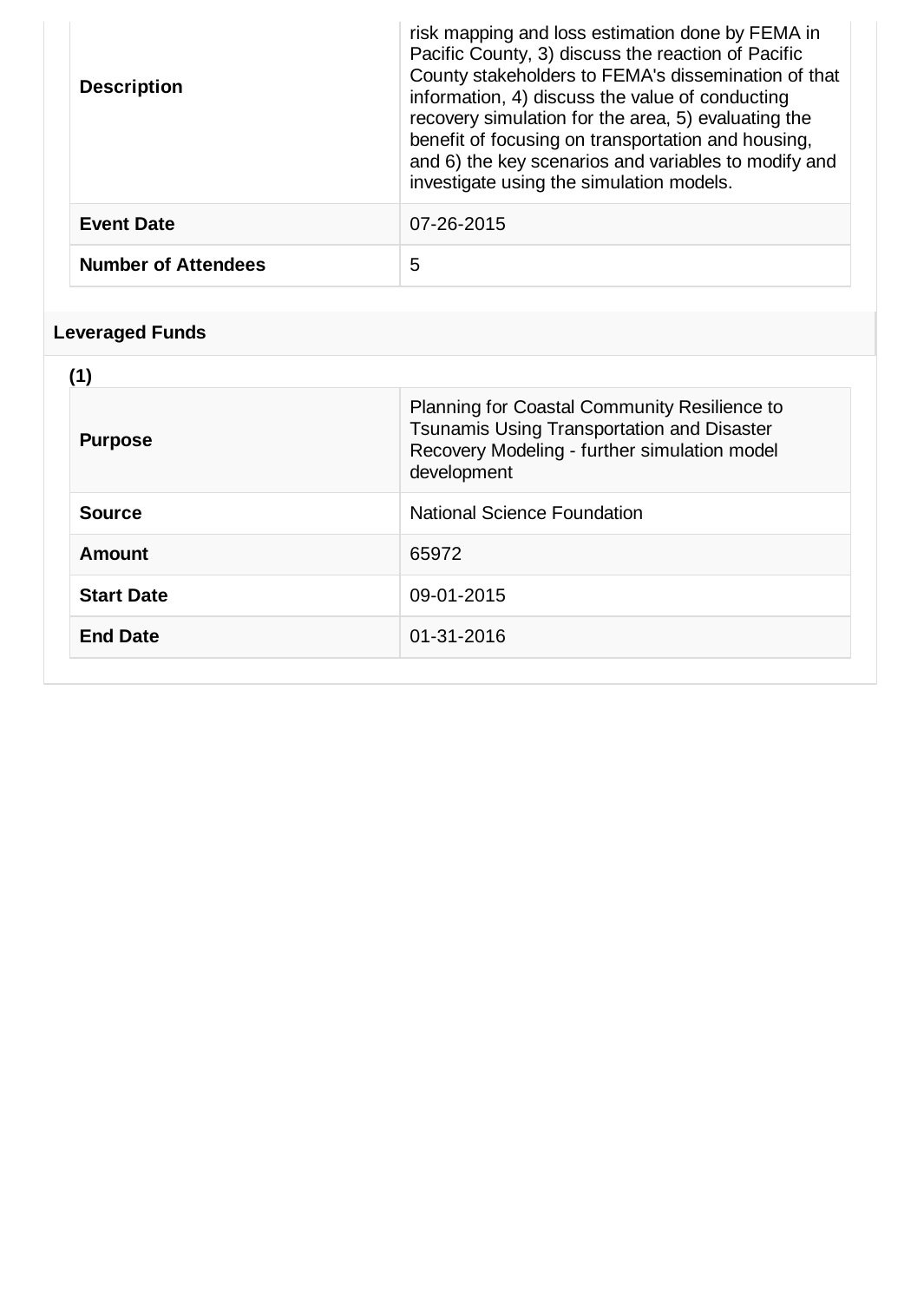| <b>Description</b>         | risk mapping and loss estimation done by FEMA in<br>Pacific County, 3) discuss the reaction of Pacific<br>County stakeholders to FEMA's dissemination of that<br>information, 4) discuss the value of conducting<br>recovery simulation for the area, 5) evaluating the<br>benefit of focusing on transportation and housing,<br>and 6) the key scenarios and variables to modify and<br>investigate using the simulation models. |
|----------------------------|-----------------------------------------------------------------------------------------------------------------------------------------------------------------------------------------------------------------------------------------------------------------------------------------------------------------------------------------------------------------------------------------------------------------------------------|
| <b>Event Date</b>          | 07-26-2015                                                                                                                                                                                                                                                                                                                                                                                                                        |
| <b>Number of Attendees</b> | 5                                                                                                                                                                                                                                                                                                                                                                                                                                 |

# **Leveraged Funds**

| (1)               |                                                                                                                                                           |
|-------------------|-----------------------------------------------------------------------------------------------------------------------------------------------------------|
| <b>Purpose</b>    | Planning for Coastal Community Resilience to<br>Tsunamis Using Transportation and Disaster<br>Recovery Modeling - further simulation model<br>development |
| <b>Source</b>     | National Science Foundation                                                                                                                               |
| <b>Amount</b>     | 65972                                                                                                                                                     |
| <b>Start Date</b> | 09-01-2015                                                                                                                                                |
| <b>End Date</b>   | 01-31-2016                                                                                                                                                |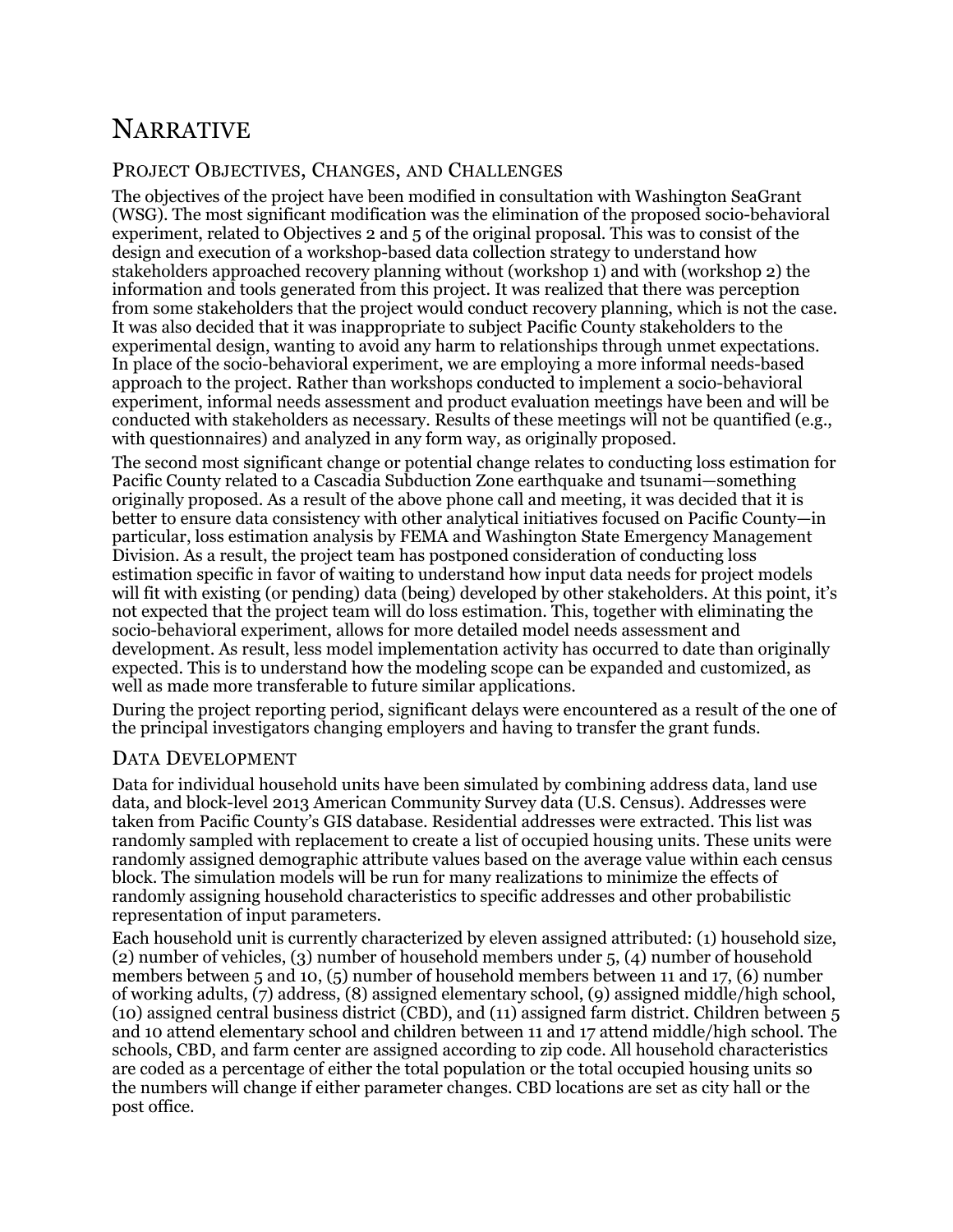# NARRATIVE

### PROJECT OBJECTIVES, CHANGES, AND CHALLENGES

The objectives of the project have been modified in consultation with Washington SeaGrant (WSG). The most significant modification was the elimination of the proposed socio-behavioral experiment, related to Objectives 2 and 5 of the original proposal. This was to consist of the design and execution of a workshop-based data collection strategy to understand how stakeholders approached recovery planning without (workshop 1) and with (workshop 2) the information and tools generated from this project. It was realized that there was perception from some stakeholders that the project would conduct recovery planning, which is not the case. It was also decided that it was inappropriate to subject Pacific County stakeholders to the experimental design, wanting to avoid any harm to relationships through unmet expectations. In place of the socio-behavioral experiment, we are employing a more informal needs-based approach to the project. Rather than workshops conducted to implement a socio-behavioral experiment, informal needs assessment and product evaluation meetings have been and will be conducted with stakeholders as necessary. Results of these meetings will not be quantified (e.g., with questionnaires) and analyzed in any form way, as originally proposed.

The second most significant change or potential change relates to conducting loss estimation for Pacific County related to a Cascadia Subduction Zone earthquake and tsunami—something originally proposed. As a result of the above phone call and meeting, it was decided that it is better to ensure data consistency with other analytical initiatives focused on Pacific County—in particular, loss estimation analysis by FEMA and Washington State Emergency Management Division. As a result, the project team has postponed consideration of conducting loss estimation specific in favor of waiting to understand how input data needs for project models will fit with existing (or pending) data (being) developed by other stakeholders. At this point, it's not expected that the project team will do loss estimation. This, together with eliminating the socio-behavioral experiment, allows for more detailed model needs assessment and development. As result, less model implementation activity has occurred to date than originally expected. This is to understand how the modeling scope can be expanded and customized, as well as made more transferable to future similar applications.

During the project reporting period, significant delays were encountered as a result of the one of the principal investigators changing employers and having to transfer the grant funds.

### DATA DEVELOPMENT

Data for individual household units have been simulated by combining address data, land use data, and block-level 2013 American Community Survey data (U.S. Census). Addresses were taken from Pacific County's GIS database. Residential addresses were extracted. This list was randomly sampled with replacement to create a list of occupied housing units. These units were randomly assigned demographic attribute values based on the average value within each census block. The simulation models will be run for many realizations to minimize the effects of randomly assigning household characteristics to specific addresses and other probabilistic representation of input parameters.

Each household unit is currently characterized by eleven assigned attributed: (1) household size, (2) number of vehicles, (3) number of household members under 5, (4) number of household members between 5 and 10, (5) number of household members between 11 and 17, (6) number of working adults, (7) address, (8) assigned elementary school, (9) assigned middle/high school, (10) assigned central business district (CBD), and (11) assigned farm district. Children between 5 and 10 attend elementary school and children between 11 and 17 attend middle/high school. The schools, CBD, and farm center are assigned according to zip code. All household characteristics are coded as a percentage of either the total population or the total occupied housing units so the numbers will change if either parameter changes. CBD locations are set as city hall or the post office.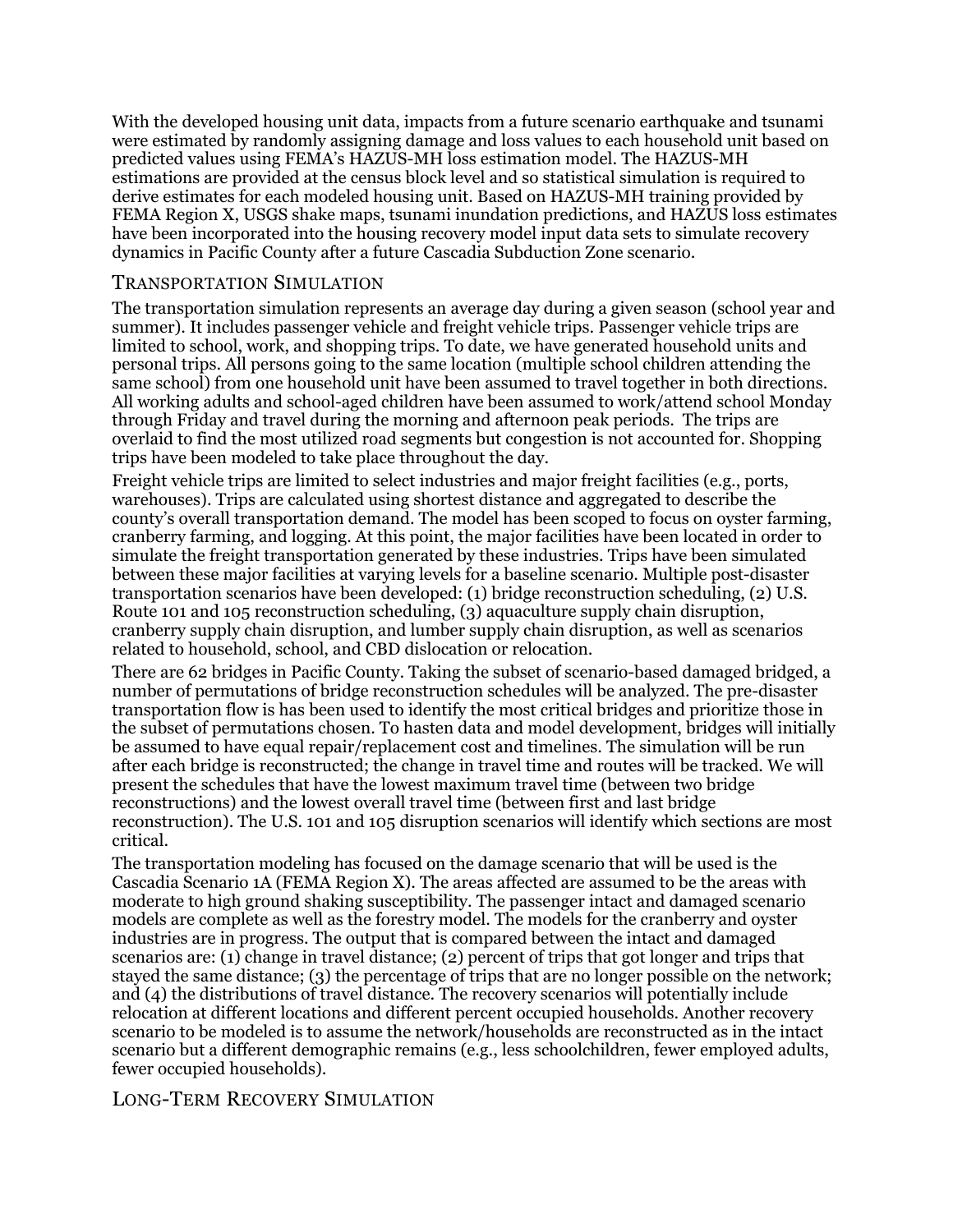With the developed housing unit data, impacts from a future scenario earthquake and tsunami were estimated by randomly assigning damage and loss values to each household unit based on predicted values using FEMA's HAZUS-MH loss estimation model. The HAZUS-MH estimations are provided at the census block level and so statistical simulation is required to derive estimates for each modeled housing unit. Based on HAZUS-MH training provided by FEMA Region X, USGS shake maps, tsunami inundation predictions, and HAZUS loss estimates have been incorporated into the housing recovery model input data sets to simulate recovery dynamics in Pacific County after a future Cascadia Subduction Zone scenario.

### TRANSPORTATION SIMULATION

The transportation simulation represents an average day during a given season (school year and summer). It includes passenger vehicle and freight vehicle trips. Passenger vehicle trips are limited to school, work, and shopping trips. To date, we have generated household units and personal trips. All persons going to the same location (multiple school children attending the same school) from one household unit have been assumed to travel together in both directions. All working adults and school-aged children have been assumed to work/attend school Monday through Friday and travel during the morning and afternoon peak periods. The trips are overlaid to find the most utilized road segments but congestion is not accounted for. Shopping trips have been modeled to take place throughout the day.

Freight vehicle trips are limited to select industries and major freight facilities (e.g., ports, warehouses). Trips are calculated using shortest distance and aggregated to describe the county's overall transportation demand. The model has been scoped to focus on oyster farming, cranberry farming, and logging. At this point, the major facilities have been located in order to simulate the freight transportation generated by these industries. Trips have been simulated between these major facilities at varying levels for a baseline scenario. Multiple post-disaster transportation scenarios have been developed: (1) bridge reconstruction scheduling, (2) U.S. Route 101 and 105 reconstruction scheduling, (3) aquaculture supply chain disruption, cranberry supply chain disruption, and lumber supply chain disruption, as well as scenarios related to household, school, and CBD dislocation or relocation.

There are 62 bridges in Pacific County. Taking the subset of scenario-based damaged bridged, a number of permutations of bridge reconstruction schedules will be analyzed. The pre-disaster transportation flow is has been used to identify the most critical bridges and prioritize those in the subset of permutations chosen. To hasten data and model development, bridges will initially be assumed to have equal repair/replacement cost and timelines. The simulation will be run after each bridge is reconstructed; the change in travel time and routes will be tracked. We will present the schedules that have the lowest maximum travel time (between two bridge reconstructions) and the lowest overall travel time (between first and last bridge reconstruction). The U.S. 101 and 105 disruption scenarios will identify which sections are most critical.

The transportation modeling has focused on the damage scenario that will be used is the Cascadia Scenario 1A (FEMA Region X). The areas affected are assumed to be the areas with moderate to high ground shaking susceptibility. The passenger intact and damaged scenario models are complete as well as the forestry model. The models for the cranberry and oyster industries are in progress. The output that is compared between the intact and damaged scenarios are: (1) change in travel distance; (2) percent of trips that got longer and trips that stayed the same distance; (3) the percentage of trips that are no longer possible on the network; and (4) the distributions of travel distance. The recovery scenarios will potentially include relocation at different locations and different percent occupied households. Another recovery scenario to be modeled is to assume the network/households are reconstructed as in the intact scenario but a different demographic remains (e.g., less schoolchildren, fewer employed adults, fewer occupied households).

### LONG-TERM RECOVERY SIMULATION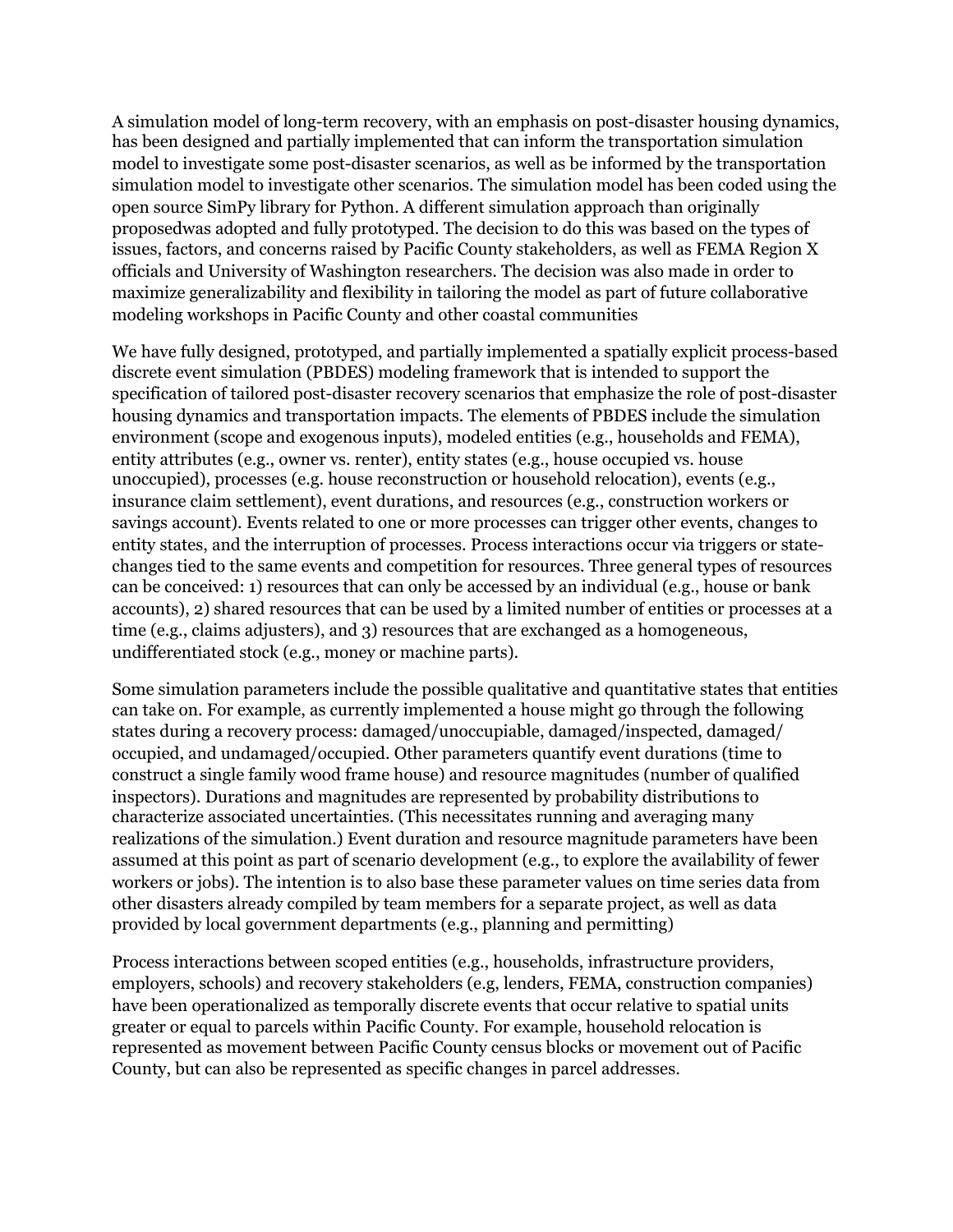A simulation model of long-term recovery, with an emphasis on post-disaster housing dynamics, has been designed and partially implemented that can inform the transportation simulation model to investigate some post-disaster scenarios, as well as be informed by the transportation simulation model to investigate other scenarios. The simulation model has been coded using the open source SimPy library for Python. A different simulation approach than originally proposedwas adopted and fully prototyped. The decision to do this was based on the types of issues, factors, and concerns raised by Pacific County stakeholders, as well as FEMA Region X officials and University of Washington researchers. The decision was also made in order to maximize generalizability and flexibility in tailoring the model as part of future collaborative modeling workshops in Pacific County and other coastal communities

We have fully designed, prototyped, and partially implemented a spatially explicit process-based discrete event simulation (PBDES) modeling framework that is intended to support the specification of tailored post-disaster recovery scenarios that emphasize the role of post-disaster housing dynamics and transportation impacts. The elements of PBDES include the simulation environment (scope and exogenous inputs), modeled entities (e.g., households and FEMA), entity attributes (e.g., owner vs. renter), entity states (e.g., house occupied vs. house unoccupied), processes (e.g. house reconstruction or household relocation), events (e.g., insurance claim settlement), event durations, and resources (e.g., construction workers or savings account). Events related to one or more processes can trigger other events, changes to entity states, and the interruption of processes. Process interactions occur via triggers or statechanges tied to the same events and competition for resources. Three general types of resources can be conceived: 1) resources that can only be accessed by an individual (e.g., house or bank accounts), 2) shared resources that can be used by a limited number of entities or processes at a time (e.g., claims adjusters), and 3) resources that are exchanged as a homogeneous, undifferentiated stock (e.g., money or machine parts).

Some simulation parameters include the possible qualitative and quantitative states that entities can take on. For example, as currently implemented a house might go through the following states during a recovery process: damaged/unoccupiable, damaged/inspected, damaged/ occupied, and undamaged/occupied. Other parameters quantify event durations (time to construct a single family wood frame house) and resource magnitudes (number of qualified inspectors). Durations and magnitudes are represented by probability distributions to characterize associated uncertainties. (This necessitates running and averaging many realizations of the simulation.) Event duration and resource magnitude parameters have been assumed at this point as part of scenario development (e.g., to explore the availability of fewer workers or jobs). The intention is to also base these parameter values on time series data from other disasters already compiled by team members for a separate project, as well as data provided by local government departments (e.g., planning and permitting)

Process interactions between scoped entities (e.g., households, infrastructure providers, employers, schools) and recovery stakeholders (e.g, lenders, FEMA, construction companies) have been operationalized as temporally discrete events that occur relative to spatial units greater or equal to parcels within Pacific County. For example, household relocation is represented as movement between Pacific County census blocks or movement out of Pacific County, but can also be represented as specific changes in parcel addresses.